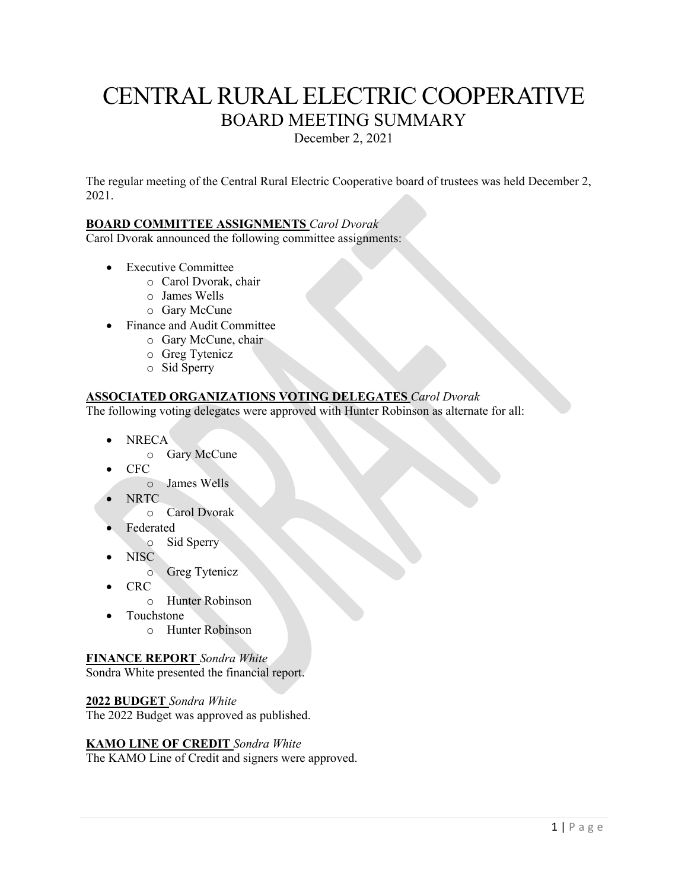# CENTRAL RURAL ELECTRIC COOPERATIVE BOARD MEETING SUMMARY

December 2, 2021

The regular meeting of the Central Rural Electric Cooperative board of trustees was held December 2, 2021.

# **BOARD COMMITTEE ASSIGNMENTS** *Carol Dvorak*

Carol Dvorak announced the following committee assignments:

- Executive Committee
	- o Carol Dvorak, chair
	- o James Wells
	- o Gary McCune
- Finance and Audit Committee
	- o Gary McCune, chair
	- o Greg Tytenicz
	- o Sid Sperry

# **ASSOCIATED ORGANIZATIONS VOTING DELEGATES** *Carol Dvorak*

The following voting delegates were approved with Hunter Robinson as alternate for all:

- NRECA
	- o Gary McCune
- CFC
	- o James Wells
- NRTC
	- o Carol Dvorak
- **Federated** 
	- o Sid Sperry
- NISC
	- o Greg Tytenicz
- CRC
	- o Hunter Robinson
- Touchstone
	- o Hunter Robinson

# **FINANCE REPORT** *Sondra White*

Sondra White presented the financial report.

# **2022 BUDGET** *Sondra White*

The 2022 Budget was approved as published.

# **KAMO LINE OF CREDIT** *Sondra White*

The KAMO Line of Credit and signers were approved.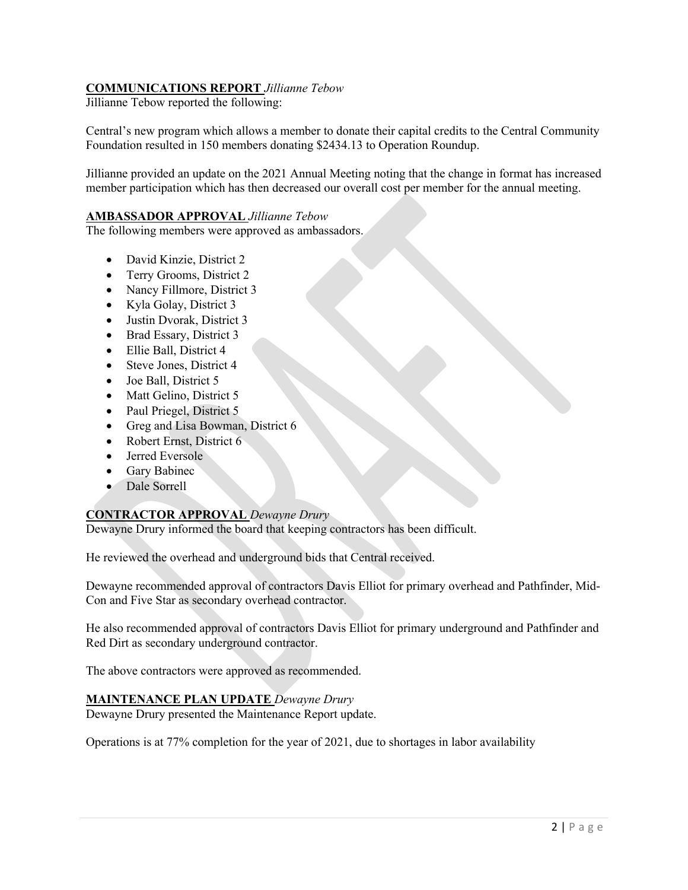# **COMMUNICATIONS REPORT** *Jillianne Tebow*

Jillianne Tebow reported the following:

Central's new program which allows a member to donate their capital credits to the Central Community Foundation resulted in 150 members donating \$2434.13 to Operation Roundup.

Jillianne provided an update on the 2021 Annual Meeting noting that the change in format has increased member participation which has then decreased our overall cost per member for the annual meeting.

# **AMBASSADOR APPROVAL** *Jillianne Tebow*

The following members were approved as ambassadors.

- David Kinzie, District 2
- Terry Grooms, District 2
- Nancy Fillmore, District 3
- Kyla Golay, District 3
- Justin Dvorak, District 3
- Brad Essary, District 3
- Ellie Ball, District 4
- Steve Jones, District 4
- Joe Ball, District 5
- Matt Gelino, District 5
- Paul Priegel, District 5
- Greg and Lisa Bowman, District 6
- Robert Ernst, District 6
- Jerred Eversole
- Gary Babinec
- Dale Sorrell

# **CONTRACTOR APPROVAL** *Dewayne Drury*

Dewayne Drury informed the board that keeping contractors has been difficult.

He reviewed the overhead and underground bids that Central received.

Dewayne recommended approval of contractors Davis Elliot for primary overhead and Pathfinder, Mid-Con and Five Star as secondary overhead contractor.

He also recommended approval of contractors Davis Elliot for primary underground and Pathfinder and Red Dirt as secondary underground contractor.

The above contractors were approved as recommended.

# **MAINTENANCE PLAN UPDATE** *Dewayne Drury*

Dewayne Drury presented the Maintenance Report update.

Operations is at 77% completion for the year of 2021, due to shortages in labor availability